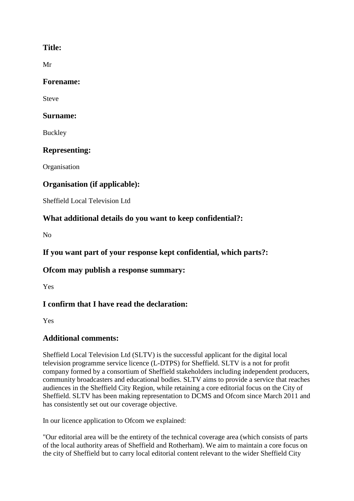#### **Title:**

Mr

#### **Forename:**

Steve

#### **Surname:**

Buckley

### **Representing:**

**Organisation** 

### **Organisation (if applicable):**

Sheffield Local Television Ltd

### **What additional details do you want to keep confidential?:**

No

## **If you want part of your response kept confidential, which parts?:**

#### **Ofcom may publish a response summary:**

Yes

# **I confirm that I have read the declaration:**

Yes

# **Additional comments:**

Sheffield Local Television Ltd (SLTV) is the successful applicant for the digital local television programme service licence (L-DTPS) for Sheffield. SLTV is a not for profit company formed by a consortium of Sheffield stakeholders including independent producers, community broadcasters and educational bodies. SLTV aims to provide a service that reaches audiences in the Sheffield City Region, while retaining a core editorial focus on the City of Sheffield. SLTV has been making representation to DCMS and Ofcom since March 2011 and has consistently set out our coverage objective.

In our licence application to Ofcom we explained:

"Our editorial area will be the entirety of the technical coverage area (which consists of parts of the local authority areas of Sheffield and Rotherham). We aim to maintain a core focus on the city of Sheffield but to carry local editorial content relevant to the wider Sheffield City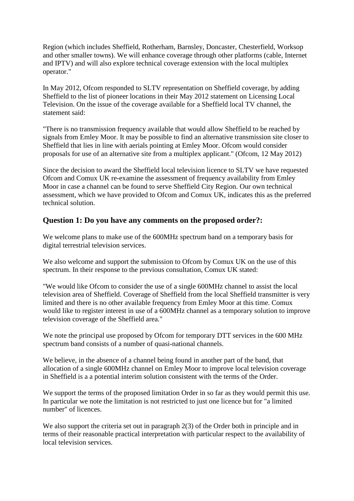Region (which includes Sheffield, Rotherham, Barnsley, Doncaster, Chesterfield, Worksop and other smaller towns). We will enhance coverage through other platforms (cable, Internet and IPTV) and will also explore technical coverage extension with the local multiplex operator."

In May 2012, Ofcom responded to SLTV representation on Sheffield coverage, by adding Sheffield to the list of pioneer locations in their May 2012 statement on Licensing Local Television. On the issue of the coverage available for a Sheffield local TV channel, the statement said:

"There is no transmission frequency available that would allow Sheffield to be reached by signals from Emley Moor. It may be possible to find an alternative transmission site closer to Sheffield that lies in line with aerials pointing at Emley Moor. Ofcom would consider proposals for use of an alternative site from a multiplex applicant." (Ofcom, 12 May 2012)

Since the decision to award the Sheffield local television licence to SLTV we have requested Ofcom and Comux UK re-examine the assessment of frequency availability from Emley Moor in case a channel can be found to serve Sheffield City Region. Our own technical assessment, which we have provided to Ofcom and Comux UK, indicates this as the preferred technical solution.

#### **Question 1: Do you have any comments on the proposed order?:**

We welcome plans to make use of the 600MHz spectrum band on a temporary basis for digital terrestrial television services.

We also welcome and support the submission to Ofcom by Comux UK on the use of this spectrum. In their response to the previous consultation, Comux UK stated:

"We would like Ofcom to consider the use of a single 600MHz channel to assist the local television area of Sheffield. Coverage of Sheffield from the local Sheffield transmitter is very limited and there is no other available frequency from Emley Moor at this time. Comux would like to register interest in use of a 600MHz channel as a temporary solution to improve television coverage of the Sheffield area."

We note the principal use proposed by Ofcom for temporary DTT services in the 600 MHz spectrum band consists of a number of quasi-national channels.

We believe, in the absence of a channel being found in another part of the band, that allocation of a single 600MHz channel on Emley Moor to improve local television coverage in Sheffield is a a potential interim solution consistent with the terms of the Order.

We support the terms of the proposed limitation Order in so far as they would permit this use. In particular we note the limitation is not restricted to just one licence but for "a limited number" of licences.

We also support the criteria set out in paragraph 2(3) of the Order both in principle and in terms of their reasonable practical interpretation with particular respect to the availability of local television services.